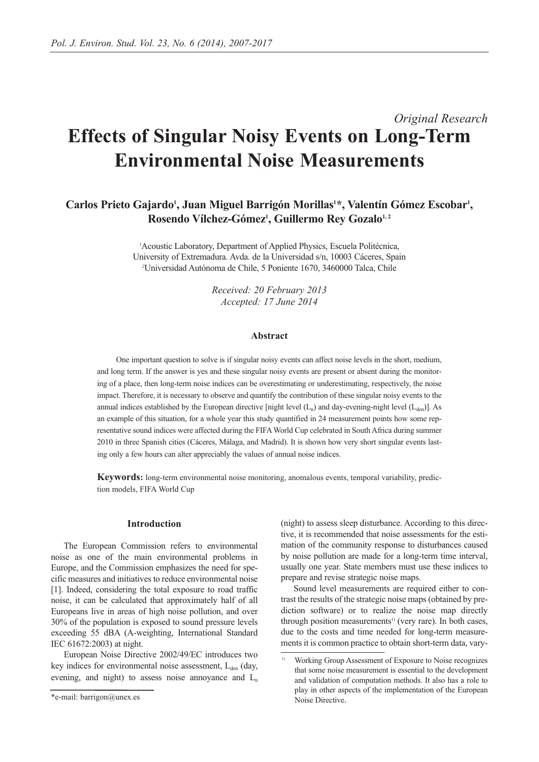# *Original Research* **Effects of Singular Noisy Events on Long-Term Environmental Noise Measurements**

# Carlos Prieto Gajardo<sup>1</sup>, Juan Miguel Barrigón Morillas<sup>1\*</sup>, Valentín Gómez Escobar<sup>1</sup>, Rosendo Vílchez-Gómez<sup>1</sup>, Guillermo Rey Gozalo<sup>1,2</sup>

1 Acoustic Laboratory, Department of Applied Physics, Escuela Politécnica, University of Extremadura. Avda. de la Universidad s/n, 10003 Cáceres, Spain 2 Universidad Autónoma de Chile, 5 Poniente 1670, 3460000 Talca, Chile

> *Received: 20 February 2013 Accepted: 17 June 2014*

#### **Abstract**

One important question to solve is if singular noisy events can affect noise levels in the short, medium, and long term. If the answer is yes and these singular noisy events are present or absent during the monitoring of a place, then long-term noise indices can be overestimating or underestimating, respectively, the noise impact. Therefore, it is necessary to observe and quantify the contribution of these singular noisy events to the annual indices established by the European directive [night level  $(L_n)$  and day-evening-night level  $(L_{den})$ ]. As an example of this situation, for a whole year this study quantified in 24 measurement points how some representative sound indices were affected during the FIFA World Cup celebrated in South Africa during summer 2010 in three Spanish cities (Cáceres, Málaga, and Madrid). It is shown how very short singular events lasting only a few hours can alter appreciably the values of annual noise indices.

**Keywords:** long-term environmental noise monitoring, anomalous events, temporal variability, prediction models, FIFA World Cup

#### **Introduction**

The European Commission refers to environmental noise as one of the main environmental problems in Europe, and the Commission emphasizes the need for specific measures and initiatives to reduce environmental noise [1]. Indeed, considering the total exposure to road traffic noise, it can be calculated that approximately half of all Europeans live in areas of high noise pollution, and over 30% of the population is exposed to sound pressure levels exceeding 55 dBA (A-weighting, International Standard IEC 61672:2003) at night.

European Noise Directive 2002/49/EC introduces two key indices for environmental noise assessment,  $L_{den}$  (day, evening, and night) to assess noise annoyance and  $L_n$ 

(night) to assess sleep disturbance. According to this directive, it is recommended that noise assessments for the estimation of the community response to disturbances caused by noise pollution are made for a long-term time interval, usually one year. State members must use these indices to prepare and revise strategic noise maps.

Sound level measurements are required either to contrast the results of the strategic noise maps (obtained by prediction software) or to realize the noise map directly through position measurements<sup>1)</sup> (very rare). In both cases, due to the costs and time needed for long-term measurements it is common practice to obtain short-term data, vary-

<sup>\*</sup>e-mail: barrigon@unex.es

<sup>1)</sup> Working Group Assessment of Exposure to Noise recognizes that some noise measurement is essential to the development and validation of computation methods. It also has a role to play in other aspects of the implementation of the European Noise Directive.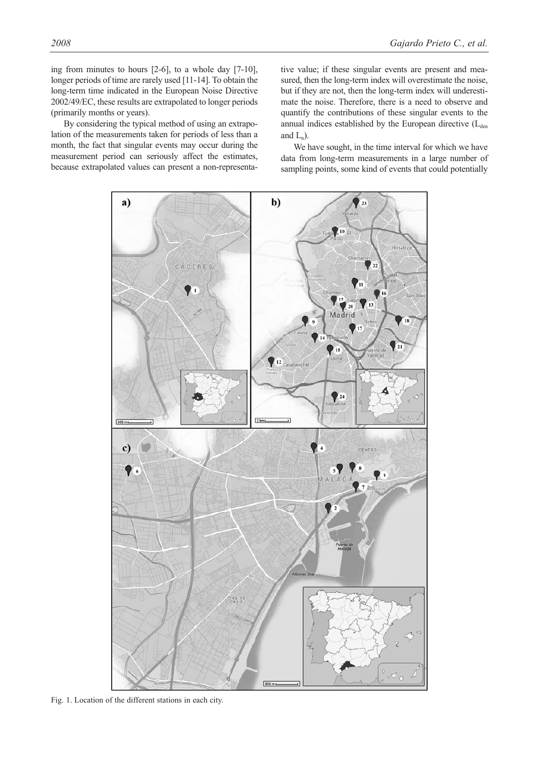ing from minutes to hours [2-6], to a whole day [7-10], longer periods of time are rarely used [11-14]. To obtain the long-term time indicated in the European Noise Directive 2002/49/EC, these results are extrapolated to longer periods (primarily months or years).

By considering the typical method of using an extrapolation of the measurements taken for periods of less than a month, the fact that singular events may occur during the measurement period can seriously affect the estimates, because extrapolated values can present a non-representative value; if these singular events are present and measured, then the long-term index will overestimate the noise, but if they are not, then the long-term index will underestimate the noise. Therefore, there is a need to observe and quantify the contributions of these singular events to the annual indices established by the European directive  $(L<sub>den</sub>)$ and  $L_n$ ).

We have sought, in the time interval for which we have data from long-term measurements in a large number of sampling points, some kind of events that could potentially



Fig. 1. Location of the different stations in each city.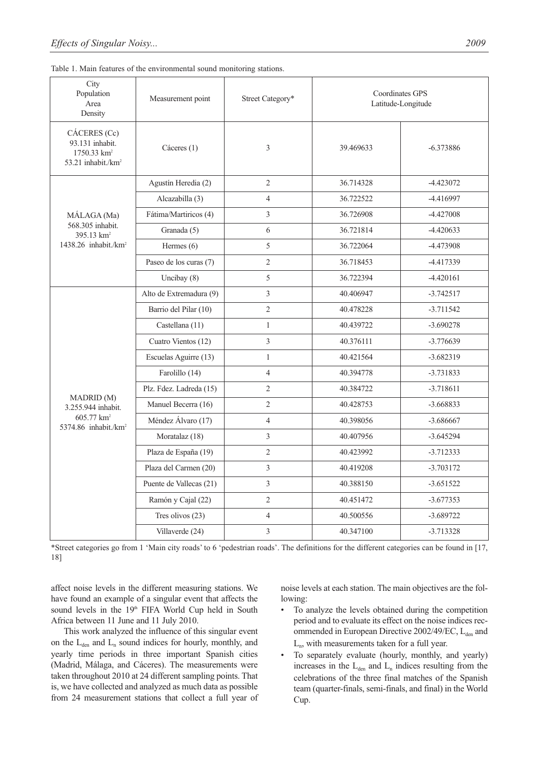|  |  | Table 1. Main features of the environmental sound monitoring stations. |  |  |
|--|--|------------------------------------------------------------------------|--|--|
|  |  |                                                                        |  |  |

| City<br>Population<br>Area<br>Density                                                          | Measurement point       | Street Category* | <b>Coordinates GPS</b><br>Latitude-Longitude |             |
|------------------------------------------------------------------------------------------------|-------------------------|------------------|----------------------------------------------|-------------|
| CÁCERES (Cc)<br>93.131 inhabit.<br>$1750.33$ km <sup>2</sup><br>53.21 inhabit./km <sup>2</sup> | Cáceres $(1)$           | 3                | 39.469633                                    | $-6.373886$ |
|                                                                                                | Agustín Heredia (2)     | $\overline{2}$   | 36.714328                                    | $-4.423072$ |
|                                                                                                | Alcazabilla (3)         | $\overline{4}$   | 36.722522                                    | -4.416997   |
| MÁLAGA (Ma)                                                                                    | Fátima/Martiricos (4)   | $\overline{3}$   | 36.726908                                    | $-4.427008$ |
| 568.305 inhabit.<br>395.13 km <sup>2</sup>                                                     | Granada (5)             | 6                | 36.721814                                    | $-4.420633$ |
| $1438.26$ inhabit./ $km2$                                                                      | Hermes $(6)$            | 5                | 36.722064                                    | -4.473908   |
|                                                                                                | Paseo de los curas (7)  | $\overline{2}$   | 36.718453                                    | -4.417339   |
|                                                                                                | Uncibay (8)             | 5                | 36.722394                                    | $-4.420161$ |
|                                                                                                | Alto de Extremadura (9) | $\mathfrak{Z}$   | 40.406947                                    | $-3.742517$ |
|                                                                                                | Barrio del Pilar (10)   | $\overline{2}$   | 40.478228                                    | $-3.711542$ |
|                                                                                                | Castellana (11)         | $\mathbf{1}$     | 40.439722                                    | $-3.690278$ |
|                                                                                                | Cuatro Vientos (12)     | 3                | 40.376111                                    | $-3.776639$ |
|                                                                                                | Escuelas Aguirre (13)   | $\mathbf{1}$     | 40.421564                                    | $-3.682319$ |
|                                                                                                | Farolillo (14)          | $\overline{4}$   | 40.394778                                    | $-3.731833$ |
|                                                                                                | Plz. Fdez. Ladreda (15) | 2                | 40.384722                                    | $-3.718611$ |
| <b>MADRID</b> (M)<br>3.255.944 inhabit.                                                        | Manuel Becerra (16)     | $\overline{2}$   | 40.428753                                    | $-3.668833$ |
| 605.77 km <sup>2</sup><br>5374.86 inhabit./km <sup>2</sup>                                     | Méndez Álvaro (17)      | $\overline{4}$   | 40.398056                                    | $-3.686667$ |
|                                                                                                | Moratalaz (18)          | $\overline{3}$   | 40.407956                                    | $-3.645294$ |
|                                                                                                | Plaza de España (19)    | $\overline{2}$   | 40.423992                                    | $-3.712333$ |
|                                                                                                | Plaza del Carmen (20)   | 3                | 40.419208                                    | $-3.703172$ |
|                                                                                                | Puente de Vallecas (21) | 3                | 40.388150                                    | $-3.651522$ |
|                                                                                                | Ramón y Cajal (22)      | $\overline{2}$   | 40.451472                                    | $-3.677353$ |
|                                                                                                | Tres olivos $(23)$      | $\overline{4}$   | 40.500556                                    | $-3.689722$ |
|                                                                                                | Villaverde (24)         | $\mathfrak{Z}$   | 40.347100                                    | $-3.713328$ |

\*Street categories go from 1 'Main city roads' to 6 'pedestrian roads'. The definitions for the different categories can be found in [17, 18]

affect noise levels in the different measuring stations. We have found an example of a singular event that affects the sound levels in the 19<sup>th</sup> FIFA World Cup held in South Africa between 11 June and 11 July 2010.

This work analyzed the influence of this singular event on the  $L_{den}$  and  $L_n$  sound indices for hourly, monthly, and yearly time periods in three important Spanish cities (Madrid, Málaga, and Cáceres). The measurements were taken throughout 2010 at 24 different sampling points. That is, we have collected and analyzed as much data as possible from 24 measurement stations that collect a full year of noise levels at each station. The main objectives are the following:

- To analyze the levels obtained during the competition period and to evaluate its effect on the noise indices recommended in European Directive  $2002/49/EC$ ,  $L_{den}$  and Ln, with measurements taken for a full year.
- To separately evaluate (hourly, monthly, and yearly) increases in the  $L_{den}$  and  $L_n$  indices resulting from the celebrations of the three final matches of the Spanish team (quarter-finals, semi-finals, and final) in the World Cup.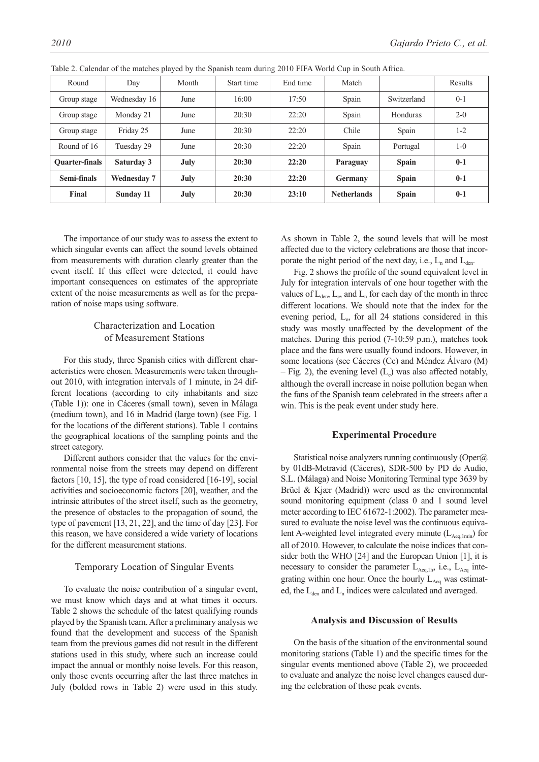| Round                 | Day                | Month | Start time | End time | Match              |              | Results |
|-----------------------|--------------------|-------|------------|----------|--------------------|--------------|---------|
| Group stage           | Wednesday 16       | June  | 16:00      | 17:50    | Spain              | Switzerland  | $0 - 1$ |
| Group stage           | Monday 21          | June  | 20:30      | 22:20    | Spain              | Honduras     | $2 - 0$ |
| Group stage           | Friday 25          | June  | 20:30      | 22:20    | Chile              | Spain        | $1-2$   |
| Round of 16           | Tuesday 29         | June  | 20:30      | 22:20    | Spain              | Portugal     | $1 - 0$ |
| <b>Ouarter-finals</b> | Saturday 3         | July  | 20:30      | 22:20    | Paraguay           | <b>Spain</b> | $0-1$   |
| Semi-finals           | <b>Wednesday 7</b> | July  | 20:30      | 22:20    | <b>Germany</b>     | <b>Spain</b> | $0-1$   |
| Final                 | Sunday 11          | July  | 20:30      | 23:10    | <b>Netherlands</b> | <b>Spain</b> | $0-1$   |

Table 2. Calendar of the matches played by the Spanish team during 2010 FIFA World Cup in South Africa.

The importance of our study was to assess the extent to which singular events can affect the sound levels obtained from measurements with duration clearly greater than the event itself. If this effect were detected, it could have important consequences on estimates of the appropriate extent of the noise measurements as well as for the preparation of noise maps using software.

# Characterization and Location of Measurement Stations

For this study, three Spanish cities with different characteristics were chosen. Measurements were taken throughout 2010, with integration intervals of 1 minute, in 24 different locations (according to city inhabitants and size (Table 1)): one in Cáceres (small town), seven in Málaga (medium town), and 16 in Madrid (large town) (see Fig. 1 for the locations of the different stations). Table 1 contains the geographical locations of the sampling points and the street category.

Different authors consider that the values for the environmental noise from the streets may depend on different factors [10, 15], the type of road considered [16-19], social activities and socioeconomic factors [20], weather, and the intrinsic attributes of the street itself, such as the geometry, the presence of obstacles to the propagation of sound, the type of pavement [13, 21, 22], and the time of day [23]. For this reason, we have considered a wide variety of locations for the different measurement stations.

#### Temporary Location of Singular Events

To evaluate the noise contribution of a singular event, we must know which days and at what times it occurs. Table 2 shows the schedule of the latest qualifying rounds played by the Spanish team. After a preliminary analysis we found that the development and success of the Spanish team from the previous games did not result in the different stations used in this study, where such an increase could impact the annual or monthly noise levels. For this reason, only those events occurring after the last three matches in July (bolded rows in Table 2) were used in this study. As shown in Table 2, the sound levels that will be most affected due to the victory celebrations are those that incorporate the night period of the next day, i.e.,  $L_n$  and  $L_{den}$ .

Fig. 2 shows the profile of the sound equivalent level in July for integration intervals of one hour together with the values of  $L_{den}$ ,  $L_e$ , and  $L_n$  for each day of the month in three different locations. We should note that the index for the evening period, Le, for all 24 stations considered in this study was mostly unaffected by the development of the matches. During this period (7-10:59 p.m.), matches took place and the fans were usually found indoors. However, in some locations (see Cáceres (Cc) and Méndez Álvaro (M) – Fig. 2), the evening level  $(L_e)$  was also affected notably, although the overall increase in noise pollution began when the fans of the Spanish team celebrated in the streets after a win. This is the peak event under study here.

#### **Experimental Procedure**

Statistical noise analyzers running continuously (Oper@) by 01dB-Metravid (Cáceres), SDR-500 by PD de Audio, S.L. (Málaga) and Noise Monitoring Terminal type 3639 by Brüel & Kjær (Madrid)) were used as the environmental sound monitoring equipment (class 0 and 1 sound level meter according to IEC 61672-1:2002). The parameter measured to evaluate the noise level was the continuous equivalent A-weighted level integrated every minute  $(L_{Aeq,1min})$  for all of 2010. However, to calculate the noise indices that consider both the WHO [24] and the European Union [1], it is necessary to consider the parameter  $L_{Aeq,1h}$ , i.e.,  $L_{Aeq}$  integrating within one hour. Once the hourly  $L_{Aeq}$  was estimated, the  $L_{den}$  and  $L_n$  indices were calculated and averaged.

## **Analysis and Discussion of Results**

On the basis of the situation of the environmental sound monitoring stations (Table 1) and the specific times for the singular events mentioned above (Table 2), we proceeded to evaluate and analyze the noise level changes caused during the celebration of these peak events.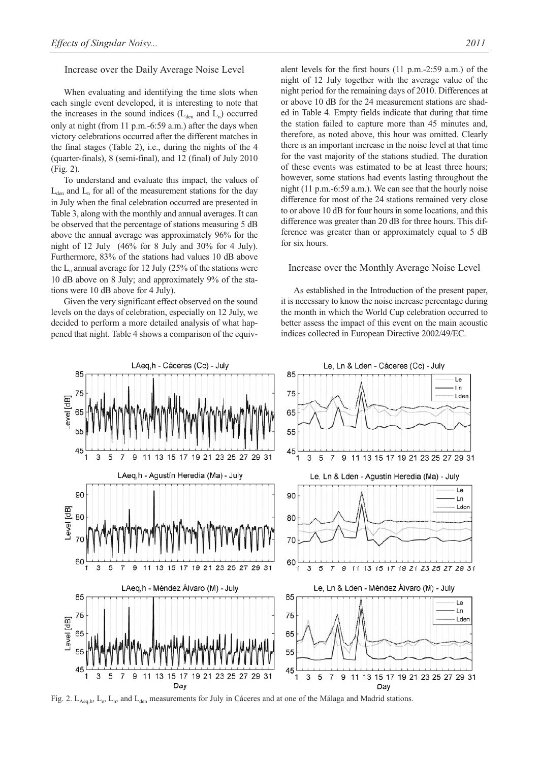#### Increase over the Daily Average Noise Level

When evaluating and identifying the time slots when each single event developed, it is interesting to note that the increases in the sound indices  $(L_{den}$  and  $L_n)$  occurred only at night (from 11 p.m.-6:59 a.m.) after the days when victory celebrations occurred after the different matches in the final stages (Table 2), i.e., during the nights of the 4 (quarter-finals), 8 (semi-final), and 12 (final) of July 2010 (Fig. 2).

To understand and evaluate this impact, the values of  $L_{den}$  and  $L_n$  for all of the measurement stations for the day in July when the final celebration occurred are presented in Table 3, along with the monthly and annual averages. It can be observed that the percentage of stations measuring 5 dB above the annual average was approximately 96% for the night of 12 July (46% for 8 July and 30% for 4 July). Furthermore, 83% of the stations had values 10 dB above the  $L_n$  annual average for 12 July (25% of the stations were 10 dB above on 8 July; and approximately 9% of the stations were 10 dB above for 4 July).

Given the very significant effect observed on the sound levels on the days of celebration, especially on 12 July, we decided to perform a more detailed analysis of what happened that night. Table 4 shows a comparison of the equivalent levels for the first hours (11 p.m.-2:59 a.m.) of the night of 12 July together with the average value of the night period for the remaining days of 2010. Differences at or above 10 dB for the 24 measurement stations are shaded in Table 4. Empty fields indicate that during that time the station failed to capture more than 45 minutes and, therefore, as noted above, this hour was omitted. Clearly there is an important increase in the noise level at that time for the vast majority of the stations studied. The duration of these events was estimated to be at least three hours; however, some stations had events lasting throughout the night (11 p.m.-6:59 a.m.). We can see that the hourly noise difference for most of the 24 stations remained very close to or above 10 dB for four hours in some locations, and this difference was greater than 20 dB for three hours. This difference was greater than or approximately equal to 5 dB for six hours.

#### Increase over the Monthly Average Noise Level

As established in the Introduction of the present paper, it is necessary to know the noise increase percentage during the month in which the World Cup celebration occurred to better assess the impact of this event on the main acoustic indices collected in European Directive 2002/49/EC.



Fig. 2. L<sub>Aeq,h</sub>, L<sub>e</sub>, L<sub>n</sub>, and L<sub>den</sub> measurements for July in Cáceres and at one of the Málaga and Madrid stations.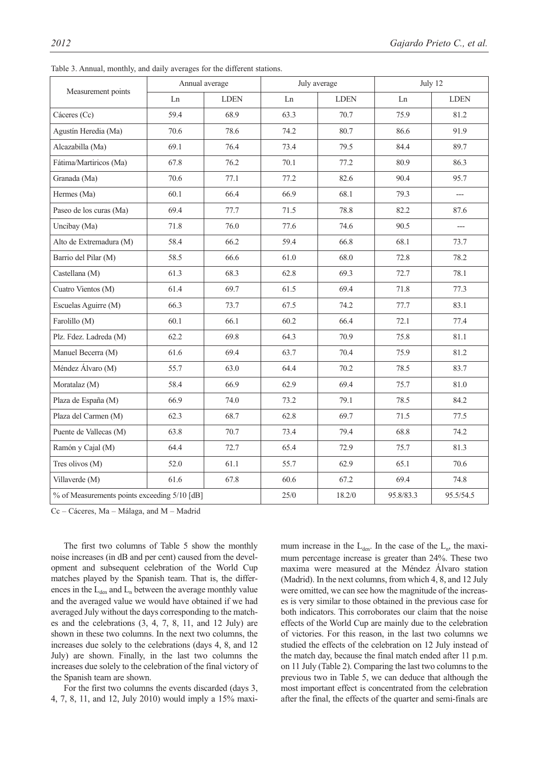|                                              | Annual average |             |        | July average |           | July 12     |  |  |
|----------------------------------------------|----------------|-------------|--------|--------------|-----------|-------------|--|--|
| Measurement points                           | Ln             | <b>LDEN</b> | Ln     | <b>LDEN</b>  | Ln        | <b>LDEN</b> |  |  |
| Cáceres (Cc)                                 | 59.4           | 68.9        | 63.3   | 70.7         | 75.9      | 81.2        |  |  |
| Agustín Heredia (Ma)                         | 70.6           | 78.6        | 74.2   | 80.7         | 86.6      | 91.9        |  |  |
| Alcazabilla (Ma)                             | 69.1           | 76.4        | 73.4   | 79.5         | 84.4      | 89.7        |  |  |
| Fátima/Martiricos (Ma)                       | 67.8           | 76.2        | 70.1   | 77.2         | 80.9      | 86.3        |  |  |
| Granada (Ma)                                 | 70.6           | 77.1        | 77.2   | 82.6         | 90.4      | 95.7        |  |  |
| Hermes (Ma)                                  | 60.1           | 66.4        | 66.9   | 68.1         | 79.3      | $---$       |  |  |
| Paseo de los curas (Ma)                      | 69.4           | 77.7        | 71.5   | 78.8         | 82.2      | 87.6        |  |  |
| Uncibay (Ma)                                 | 71.8           | 76.0        | 77.6   | 74.6         | 90.5      | ---         |  |  |
| Alto de Extremadura (M)                      | 58.4           | 66.2        | 59.4   | 66.8         | 68.1      | 73.7        |  |  |
| Barrio del Pilar (M)                         | 58.5           | 66.6        | 61.0   | 68.0         | 72.8      | 78.2        |  |  |
| Castellana (M)                               | 61.3           | 68.3        | 62.8   | 69.3         | 72.7      | 78.1        |  |  |
| Cuatro Vientos (M)                           | 61.4           | 69.7        | 61.5   | 69.4         | 71.8      | 77.3        |  |  |
| Escuelas Aguirre (M)                         | 66.3           | 73.7        | 67.5   | 74.2         | 77.7      | 83.1        |  |  |
| Farolillo (M)                                | 60.1           | 66.1        | 60.2   | 66.4         | 72.1      | 77.4        |  |  |
| Plz. Fdez. Ladreda (M)                       | 62.2           | 69.8        | 64.3   | 70.9         | 75.8      | 81.1        |  |  |
| Manuel Becerra (M)                           | 61.6           | 69.4        | 63.7   | 70.4         | 75.9      | 81.2        |  |  |
| Méndez Álvaro (M)                            | 55.7           | 63.0        | 64.4   | 70.2         | 78.5      | 83.7        |  |  |
| Moratalaz (M)                                | 58.4           | 66.9        | 62.9   | 69.4         | 75.7      | 81.0        |  |  |
| Plaza de España (M)                          | 66.9           | 74.0        | 73.2   | 79.1         | 78.5      | 84.2        |  |  |
| Plaza del Carmen (M)                         | 62.3           | 68.7        | 62.8   | 69.7         | 71.5      | 77.5        |  |  |
| Puente de Vallecas (M)                       | 63.8           | 70.7        | 73.4   | 79.4         | 68.8      | 74.2        |  |  |
| Ramón y Cajal (M)                            | 64.4           | 72.7        | 65.4   | 72.9         | 75.7      | 81.3        |  |  |
| Tres olivos (M)                              | 52.0           | 61.1        | 55.7   | 62.9         | 65.1      | 70.6        |  |  |
| Villaverde (M)                               | 61.6           | 67.8        | 60.6   | 67.2         | 69.4      | 74.8        |  |  |
| % of Measurements points exceeding 5/10 [dB] |                |             | $25/0$ | 18.2/0       | 95.8/83.3 | 95.5/54.5   |  |  |

Table 3. Annual, monthly, and daily averages for the different stations.

Cc – Cáceres, Ma – Málaga, and M – Madrid

The first two columns of Table 5 show the monthly noise increases (in dB and per cent) caused from the development and subsequent celebration of the World Cup matches played by the Spanish team. That is, the differences in the  $L_{den}$  and  $L_n$  between the average monthly value and the averaged value we would have obtained if we had averaged July without the days corresponding to the matches and the celebrations (3, 4, 7, 8, 11, and 12 July) are shown in these two columns. In the next two columns, the increases due solely to the celebrations (days 4, 8, and 12 July) are shown. Finally, in the last two columns the increases due solely to the celebration of the final victory of the Spanish team are shown.

For the first two columns the events discarded (days 3, 4, 7, 8, 11, and 12, July 2010) would imply a 15% maximum increase in the  $L_{den}$ . In the case of the  $L_n$ , the maximum percentage increase is greater than 24%. These two maxima were measured at the Méndez Álvaro station (Madrid). In the next columns, from which 4, 8, and 12 July were omitted, we can see how the magnitude of the increases is very similar to those obtained in the previous case for both indicators. This corroborates our claim that the noise effects of the World Cup are mainly due to the celebration of victories. For this reason, in the last two columns we studied the effects of the celebration on 12 July instead of the match day, because the final match ended after 11 p.m. on 11 July (Table 2). Comparing the last two columns to the previous two in Table 5, we can deduce that although the most important effect is concentrated from the celebration after the final, the effects of the quarter and semi-finals are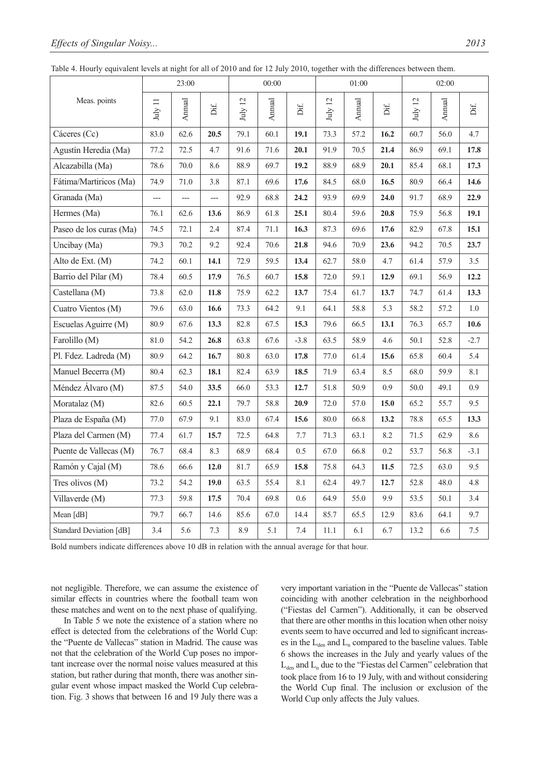|                         |                       | 23:00         |                |               | 00:00         |        |                             | 01:00         |      | 02:00                        |        |        |
|-------------------------|-----------------------|---------------|----------------|---------------|---------------|--------|-----------------------------|---------------|------|------------------------------|--------|--------|
| Meas. points            | $\rm{July}$ $\rm{11}$ | <b>Annual</b> | Dif.           | $\rm July~12$ | <b>Annual</b> | Dif.   | $\overline{\omega}$<br>July | <b>Annual</b> | Dif. | $\overline{c}$<br>$\rm July$ | Annual | Dif.   |
| Cáceres (Cc)            | 83.0                  | 62.6          | 20.5           | 79.1          | 60.1          | 19.1   | 73.3                        | 57.2          | 16.2 | 60.7                         | 56.0   | 4.7    |
| Agustín Heredia (Ma)    | 77.2                  | 72.5          | 4.7            | 91.6          | 71.6          | 20.1   | 91.9                        | 70.5          | 21.4 | 86.9                         | 69.1   | 17.8   |
| Alcazabilla (Ma)        | 78.6                  | 70.0          | 8.6            | 88.9          | 69.7          | 19.2   | 88.9                        | 68.9          | 20.1 | 85.4                         | 68.1   | 17.3   |
| Fátima/Martiricos (Ma)  | 74.9                  | 71.0          | 3.8            | 87.1          | 69.6          | 17.6   | 84.5                        | 68.0          | 16.5 | 80.9                         | 66.4   | 14.6   |
| Granada (Ma)            | ---                   |               | $\overline{a}$ | 92.9          | 68.8          | 24.2   | 93.9                        | 69.9          | 24.0 | 91.7                         | 68.9   | 22.9   |
| Hermes (Ma)             | 76.1                  | 62.6          | 13.6           | 86.9          | 61.8          | 25.1   | 80.4                        | 59.6          | 20.8 | 75.9                         | 56.8   | 19.1   |
| Paseo de los curas (Ma) | 74.5                  | 72.1          | 2.4            | 87.4          | 71.1          | 16.3   | 87.3                        | 69.6          | 17.6 | 82.9                         | 67.8   | 15.1   |
| Uncibay (Ma)            | 79.3                  | 70.2          | 9.2            | 92.4          | 70.6          | 21.8   | 94.6                        | 70.9          | 23.6 | 94.2                         | 70.5   | 23.7   |
| Alto de Ext. (M)        | 74.2                  | 60.1          | 14.1           | 72.9          | 59.5          | 13.4   | 62.7                        | 58.0          | 4.7  | 61.4                         | 57.9   | 3.5    |
| Barrio del Pilar (M)    | 78.4                  | 60.5          | 17.9           | 76.5          | 60.7          | 15.8   | 72.0                        | 59.1          | 12.9 | 69.1                         | 56.9   | 12.2   |
| Castellana (M)          | 73.8                  | 62.0          | 11.8           | 75.9          | 62.2          | 13.7   | 75.4                        | 61.7          | 13.7 | 74.7                         | 61.4   | 13.3   |
| Cuatro Vientos (M)      | 79.6                  | 63.0          | 16.6           | 73.3          | 64.2          | 9.1    | 64.1                        | 58.8          | 5.3  | 58.2                         | 57.2   | 1.0    |
| Escuelas Aguirre (M)    | 80.9                  | 67.6          | 13.3           | 82.8          | 67.5          | 15.3   | 79.6                        | 66.5          | 13.1 | 76.3                         | 65.7   | 10.6   |
| Farolillo (M)           | 81.0                  | 54.2          | 26.8           | 63.8          | 67.6          | $-3.8$ | 63.5                        | 58.9          | 4.6  | 50.1                         | 52.8   | $-2.7$ |
| Pl. Fdez. Ladreda (M)   | 80.9                  | 64.2          | 16.7           | 80.8          | 63.0          | 17.8   | 77.0                        | 61.4          | 15.6 | 65.8                         | 60.4   | 5.4    |
| Manuel Becerra (M)      | 80.4                  | 62.3          | 18.1           | 82.4          | 63.9          | 18.5   | 71.9                        | 63.4          | 8.5  | 68.0                         | 59.9   | 8.1    |
| Méndez Álvaro (M)       | 87.5                  | 54.0          | 33.5           | 66.0          | 53.3          | 12.7   | 51.8                        | 50.9          | 0.9  | 50.0                         | 49.1   | 0.9    |
| Moratalaz (M)           | 82.6                  | 60.5          | 22.1           | 79.7          | 58.8          | 20.9   | 72.0                        | 57.0          | 15.0 | 65.2                         | 55.7   | 9.5    |
| Plaza de España (M)     | 77.0                  | 67.9          | 9.1            | 83.0          | 67.4          | 15.6   | 80.0                        | 66.8          | 13.2 | 78.8                         | 65.5   | 13.3   |
| Plaza del Carmen (M)    | 77.4                  | 61.7          | 15.7           | 72.5          | 64.8          | 7.7    | 71.3                        | 63.1          | 8.2  | 71.5                         | 62.9   | 8.6    |
| Puente de Vallecas (M)  | 76.7                  | 68.4          | 8.3            | 68.9          | 68.4          | 0.5    | 67.0                        | 66.8          | 0.2  | 53.7                         | 56.8   | $-3.1$ |
| Ramón y Cajal (M)       | 78.6                  | 66.6          | 12.0           | 81.7          | 65.9          | 15.8   | 75.8                        | 64.3          | 11.5 | 72.5                         | 63.0   | 9.5    |
| Tres olivos (M)         | 73.2                  | 54.2          | 19.0           | 63.5          | 55.4          | 8.1    | 62.4                        | 49.7          | 12.7 | 52.8                         | 48.0   | 4.8    |
| Villaverde (M)          | 77.3                  | 59.8          | 17.5           | 70.4          | 69.8          | 0.6    | 64.9                        | 55.0          | 9.9  | 53.5                         | 50.1   | 3.4    |
| Mean [dB]               | 79.7                  | 66.7          | 14.6           | 85.6          | 67.0          | 14.4   | 85.7                        | 65.5          | 12.9 | 83.6                         | 64.1   | 9.7    |
| Standard Deviation [dB] | 3.4                   | 5.6           | 7.3            | 8.9           | 5.1           | 7.4    | 11.1                        | 6.1           | 6.7  | 13.2                         | 6.6    | 7.5    |

Table 4. Hourly equivalent levels at night for all of 2010 and for 12 July 2010, together with the differences between them.

Bold numbers indicate differences above 10 dB in relation with the annual average for that hour.

not negligible. Therefore, we can assume the existence of similar effects in countries where the football team won these matches and went on to the next phase of qualifying.

In Table 5 we note the existence of a station where no effect is detected from the celebrations of the World Cup: the "Puente de Vallecas" station in Madrid. The cause was not that the celebration of the World Cup poses no important increase over the normal noise values measured at this station, but rather during that month, there was another singular event whose impact masked the World Cup celebration. Fig. 3 shows that between 16 and 19 July there was a very important variation in the "Puente de Vallecas" station coinciding with another celebration in the neighborhood ("Fiestas del Carmen"). Additionally, it can be observed that there are other months in this location when other noisy events seem to have occurred and led to significant increases in the  $L_{den}$  and  $L_n$  compared to the baseline values. Table 6 shows the increases in the July and yearly values of the  $L_{den}$  and  $L_n$  due to the "Fiestas del Carmen" celebration that took place from 16 to 19 July, with and without considering the World Cup final. The inclusion or exclusion of the World Cup only affects the July values.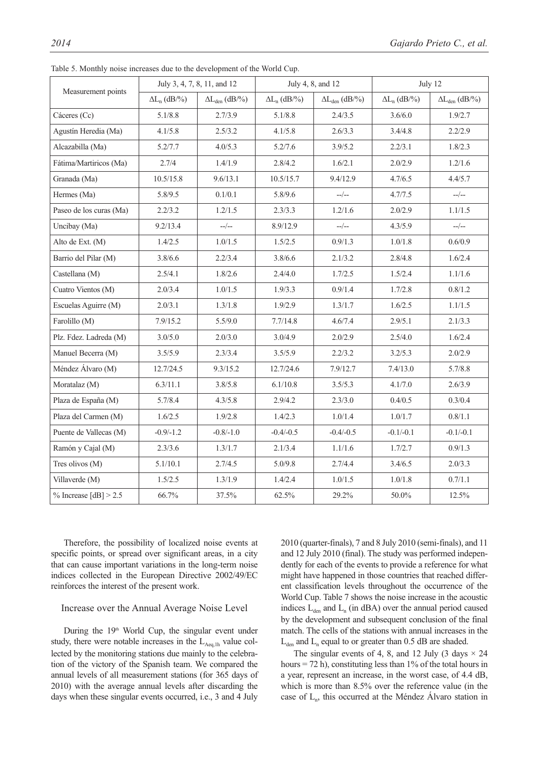|                          | July 3, 4, 7, 8, 11, and 12 |                         |                     | July 4, 8, and 12       | July 12             |                         |  |
|--------------------------|-----------------------------|-------------------------|---------------------|-------------------------|---------------------|-------------------------|--|
| Measurement points       | $\Delta L_n$ (dB/%)         | $\Delta L_{den}$ (dB/%) | $\Delta L_n$ (dB/%) | $\Delta L_{den}$ (dB/%) | $\Delta L_n$ (dB/%) | $\Delta L_{den}$ (dB/%) |  |
| Cáceres (Cc)             | 5.1/8.8                     | 2.7/3.9                 | 5.1/8.8             | 2.4/3.5                 | 3.6/6.0             | 1.9/2.7                 |  |
| Agustín Heredia (Ma)     | 4.1/5.8                     | 2.5/3.2                 | 4.1/5.8             | 2.6/3.3                 | 3.4/4.8             | 2.2/2.9                 |  |
| Alcazabilla (Ma)         | 5.2/7.7                     | 4.0/5.3                 | 5.2/7.6             | 3.9/5.2                 | 2.2/3.1             | 1.8/2.3                 |  |
| Fátima/Martiricos (Ma)   | 2.7/4                       | 1.4/1.9                 | 2.8/4.2             | 1.6/2.1                 | 2.0/2.9             | 1.2/1.6                 |  |
| Granada (Ma)             | 10.5/15.8                   | 9.6/13.1                | 10.5/15.7           | 9.4/12.9                | 4.7/6.5             | 4.4/5.7                 |  |
| Hermes (Ma)              | 5.8/9.5                     | 0.1/0.1                 | 5.8/9.6             | $-$ / $-$               | 4.7/7.5             | $-$ / $-$               |  |
| Paseo de los curas (Ma)  | 2.2/3.2                     | 1.2/1.5                 | 2.3/3.3             | 1.2/1.6                 | 2.0/2.9             | 1.1/1.5                 |  |
| Uncibay (Ma)             | 9.2/13.4                    | $-$ / $-$               | 8.9/12.9            | $-$ / $-$               | 4.3/5.9             | $-$ / $-$               |  |
| Alto de Ext. (M)         | 1.4/2.5                     | 1.0/1.5                 | 1.5/2.5             | 0.9/1.3                 | 1.0/1.8             | 0.6/0.9                 |  |
| Barrio del Pilar (M)     | 3.8/6.6                     | 2.2/3.4                 | 3.8/6.6             | 2.1/3.2                 | 2.8/4.8             | 1.6/2.4                 |  |
| Castellana (M)           | 2.5/4.1                     | 1.8/2.6                 | 2.4/4.0             | 1.7/2.5                 | 1.5/2.4             | 1.1/1.6                 |  |
| Cuatro Vientos (M)       | 2.0/3.4                     | 1.0/1.5                 | 1.9/3.3             | 0.9/1.4                 | 1.7/2.8             | 0.8/1.2                 |  |
| Escuelas Aguirre (M)     | 2.0/3.1                     | 1.3/1.8                 | 1.9/2.9             | 1.3/1.7                 | 1.6/2.5             | 1.1/1.5                 |  |
| Farolillo (M)            | 7.9/15.2                    | 5.5/9.0                 | 7.7/14.8            | 4.6/7.4                 | 2.9/5.1             | 2.1/3.3                 |  |
| Plz. Fdez. Ladreda (M)   | 3.0/5.0                     | 2.0/3.0                 | 3.0/4.9             | 2.0/2.9                 | 2.5/4.0             | 1.6/2.4                 |  |
| Manuel Becerra (M)       | 3.5/5.9                     | 2.3/3.4                 | 3.5/5.9             | 2.2/3.2                 | 3.2/5.3             | 2.0/2.9                 |  |
| Méndez Álvaro (M)        | 12.7/24.5                   | 9.3/15.2                | 12.7/24.6           | 7.9/12.7                | 7.4/13.0            | 5.7/8.8                 |  |
| Moratalaz (M)            | 6.3/11.1                    | 3.8/5.8                 | 6.1/10.8            | 3.5/5.3                 | 4.1/7.0             | 2.6/3.9                 |  |
| Plaza de España (M)      | 5.7/8.4                     | 4.3/5.8                 | 2.9/4.2             | 2.3/3.0                 | 0.4/0.5             | 0.3/0.4                 |  |
| Plaza del Carmen (M)     | 1.6/2.5                     | 1.9/2.8                 | 1.4/2.3             | 1.0/1.4                 | $1.0/1.7\,$         | 0.8/1.1                 |  |
| Puente de Vallecas (M)   | $-0.9/-1.2$                 | $-0.8/-1.0$             | $-0.4/-0.5$         | $-0.4/-0.5$             | $-0.1/-0.1$         | $-0.1/-0.1$             |  |
| Ramón y Cajal (M)        | 2.3/3.6                     | 1.3/1.7                 | 2.1/3.4             | 1.1/1.6                 | 1.7/2.7             | 0.9/1.3                 |  |
| Tres olivos (M)          | 5.1/10.1                    | 2.7/4.5                 | 5.0/9.8             | 2.7/4.4                 | 3.4/6.5             | 2.0/3.3                 |  |
| Villaverde (M)           | 1.5/2.5                     | 1.3/1.9                 | 1.4/2.4             | 1.0/1.5                 | 1.0/1.8             | 0.7/1.1                 |  |
| $\%$ Increase [dB] > 2.5 | 66.7%                       | 37.5%                   | 62.5%               | 29.2%                   | $50.0\%$            | 12.5%                   |  |

Table 5. Monthly noise increases due to the development of the World Cup.

Therefore, the possibility of localized noise events at specific points, or spread over significant areas, in a city that can cause important variations in the long-term noise indices collected in the European Directive 2002/49/EC reinforces the interest of the present work.

### Increase over the Annual Average Noise Level

During the 19<sup>th</sup> World Cup, the singular event under study, there were notable increases in the  $L_{Aea,1h}$  value collected by the monitoring stations due mainly to the celebration of the victory of the Spanish team. We compared the annual levels of all measurement stations (for 365 days of 2010) with the average annual levels after discarding the days when these singular events occurred, i.e., 3 and 4 July 2010 (quarter-finals), 7 and 8 July 2010 (semi-finals), and 11 and 12 July 2010 (final). The study was performed independently for each of the events to provide a reference for what might have happened in those countries that reached different classification levels throughout the occurrence of the World Cup. Table 7 shows the noise increase in the acoustic indices  $L_{den}$  and  $L_n$  (in dBA) over the annual period caused by the development and subsequent conclusion of the final match. The cells of the stations with annual increases in the  $L_{den}$  and  $L_n$  equal to or greater than 0.5 dB are shaded.

The singular events of 4, 8, and 12 July (3 days  $\times$  24 hours = 72 h), constituting less than  $1\%$  of the total hours in a year, represent an increase, in the worst case, of 4.4 dB, which is more than 8.5% over the reference value (in the case of  $L_n$ , this occurred at the Méndez Álvaro station in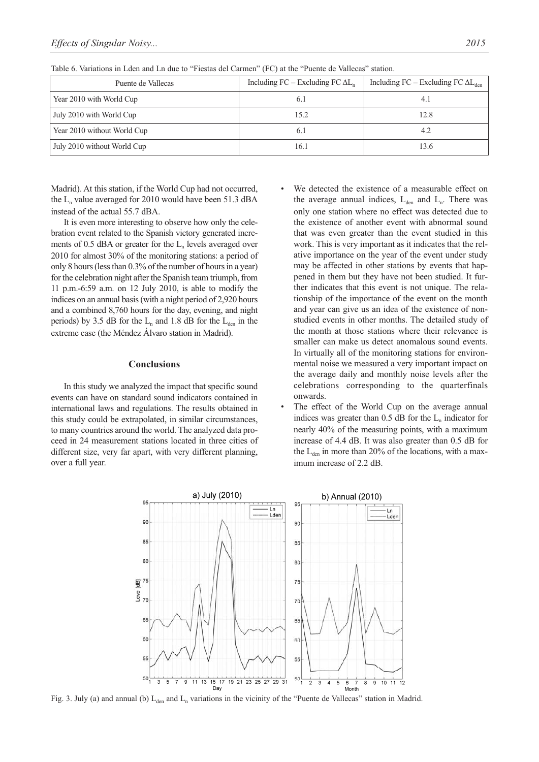| Puente de Vallecas          | Including $FC$ – Excluding $FC \Delta L$ | Including $FC$ – Excluding $FC \Delta L_{den}$ |
|-----------------------------|------------------------------------------|------------------------------------------------|
| Year 2010 with World Cup    | 6.1                                      | 4.1                                            |
| July 2010 with World Cup    | 15.2                                     | 12.8                                           |
| Year 2010 without World Cup | 6.1                                      | 4.2                                            |
| July 2010 without World Cup | 16.1                                     | 13.6                                           |

Table 6. Variations in Lden and Ln due to "Fiestas del Carmen" (FC) at the "Puente de Vallecas" station.

Madrid). At this station, if the World Cup had not occurred, the  $L_n$  value averaged for 2010 would have been 51.3 dBA instead of the actual 55.7 dBA.

It is even more interesting to observe how only the celebration event related to the Spanish victory generated increments of 0.5 dBA or greater for the  $L_n$  levels averaged over 2010 for almost 30% of the monitoring stations: a period of only 8 hours (less than 0.3% of the number of hours in a year) for the celebration night after the Spanish team triumph, from 11 p.m.-6:59 a.m. on 12 July 2010, is able to modify the indices on an annual basis (with a night period of 2,920 hours and a combined 8,760 hours for the day, evening, and night periods) by 3.5 dB for the  $L_n$  and 1.8 dB for the  $L_{den}$  in the extreme case (the Méndez Álvaro station in Madrid).

#### **Conclusions**

In this study we analyzed the impact that specific sound events can have on standard sound indicators contained in international laws and regulations. The results obtained in this study could be extrapolated, in similar circumstances, to many countries around the world. The analyzed data proceed in 24 measurement stations located in three cities of different size, very far apart, with very different planning, over a full year.

- We detected the existence of a measurable effect on the average annual indices,  $L_{den}$  and  $L_n$ . There was only one station where no effect was detected due to the existence of another event with abnormal sound that was even greater than the event studied in this work. This is very important as it indicates that the relative importance on the year of the event under study may be affected in other stations by events that happened in them but they have not been studied. It further indicates that this event is not unique. The relationship of the importance of the event on the month and year can give us an idea of the existence of nonstudied events in other months. The detailed study of the month at those stations where their relevance is smaller can make us detect anomalous sound events. In virtually all of the monitoring stations for environmental noise we measured a very important impact on the average daily and monthly noise levels after the celebrations corresponding to the quarterfinals onwards.
- The effect of the World Cup on the average annual indices was greater than  $0.5$  dB for the  $L_n$  indicator for nearly 40% of the measuring points, with a maximum increase of 4.4 dB. It was also greater than 0.5 dB for the  $L_{den}$  in more than 20% of the locations, with a maximum increase of 2.2 dB.



Fig. 3. July (a) and annual (b)  $L_{den}$  and  $L_n$  variations in the vicinity of the "Puente de Vallecas" station in Madrid.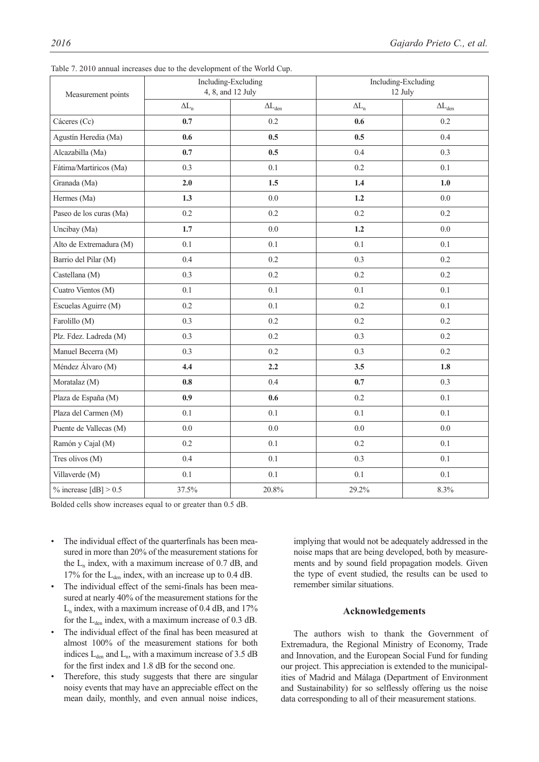| Measurement points       |              | Including-Excluding<br>4, 8, and 12 July | Including-Excluding<br>12 July |                  |  |
|--------------------------|--------------|------------------------------------------|--------------------------------|------------------|--|
|                          | $\Delta L_n$ | $\Delta L_{den}$                         | $\Delta L_n$                   | $\Delta L_{den}$ |  |
| Cáceres (Cc)             | 0.7          | 0.2                                      | 0.6                            | 0.2              |  |
| Agustín Heredia (Ma)     | 0.6          | 0.5                                      | 0.5                            | 0.4              |  |
| Alcazabilla (Ma)         | 0.7          | 0.5                                      | 0.4                            | 0.3              |  |
| Fátima/Martiricos (Ma)   | 0.3          | 0.1                                      | 0.2                            | 0.1              |  |
| Granada (Ma)             | 2.0          | 1.5                                      | 1.4                            | 1.0              |  |
| Hermes (Ma)              | 1.3          | 0.0                                      | 1.2                            | 0.0              |  |
| Paseo de los curas (Ma)  | 0.2          | 0.2                                      | $0.2\,$                        | 0.2              |  |
| Uncibay (Ma)             | 1.7          | 0.0                                      | 1.2                            | 0.0              |  |
| Alto de Extremadura (M)  | 0.1          | 0.1                                      | 0.1                            | 0.1              |  |
| Barrio del Pilar (M)     | 0.4          | 0.2                                      | 0.3                            | 0.2              |  |
| Castellana (M)           | 0.3          | 0.2                                      | 0.2                            | 0.2              |  |
| Cuatro Vientos (M)       | 0.1          | 0.1                                      | 0.1                            | 0.1              |  |
| Escuelas Aguirre (M)     | 0.2          | 0.1                                      | 0.2                            | 0.1              |  |
| Farolillo (M)            | 0.3          | 0.2                                      | 0.2                            | 0.2              |  |
| Plz. Fdez. Ladreda (M)   | 0.3          | 0.2                                      | 0.3                            | 0.2              |  |
| Manuel Becerra (M)       | 0.3          | 0.2                                      | 0.3                            | 0.2              |  |
| Méndez Álvaro (M)        | 4.4          | 2.2                                      | 3.5                            | 1.8              |  |
| Moratalaz (M)            | 0.8          | 0.4                                      | 0.7                            | 0.3              |  |
| Plaza de España (M)      | 0.9          | 0.6                                      | 0.2                            | 0.1              |  |
| Plaza del Carmen (M)     | 0.1          | 0.1                                      | 0.1                            | 0.1              |  |
| Puente de Vallecas (M)   | 0.0          | 0.0                                      | 0.0                            | 0.0              |  |
| Ramón y Cajal (M)        | $0.2\,$      | 0.1                                      | $0.2\,$                        | 0.1              |  |
| Tres olivos (M)          | 0.4          | 0.1                                      | 0.3                            | 0.1              |  |
| Villaverde (M)           | 0.1          | 0.1                                      | $0.1\,$                        | 0.1              |  |
| $\%$ increase [dB] > 0.5 | 37.5%        | $20.8\%$                                 | 29.2%                          | 8.3%             |  |

Table 7. 2010 annual increases due to the development of the World Cup.

Bolded cells show increases equal to or greater than 0.5 dB.

- The individual effect of the quarterfinals has been measured in more than 20% of the measurement stations for the  $L_n$  index, with a maximum increase of 0.7 dB, and 17% for the  $L_{den}$  index, with an increase up to 0.4 dB.
- The individual effect of the semi-finals has been measured at nearly 40% of the measurement stations for the  $L_n$  index, with a maximum increase of 0.4 dB, and 17% for the  $L_{den}$  index, with a maximum increase of 0.3 dB.
- The individual effect of the final has been measured at almost 100% of the measurement stations for both indices  $L_{den}$  and  $L_n$ , with a maximum increase of 3.5 dB for the first index and 1.8 dB for the second one.
- Therefore, this study suggests that there are singular noisy events that may have an appreciable effect on the mean daily, monthly, and even annual noise indices,

implying that would not be adequately addressed in the noise maps that are being developed, both by measurements and by sound field propagation models. Given the type of event studied, the results can be used to remember similar situations.

#### **Acknowledgements**

The authors wish to thank the Government of Extremadura, the Regional Ministry of Economy, Trade and Innovation, and the European Social Fund for funding our project. This appreciation is extended to the municipalities of Madrid and Málaga (Department of Environment and Sustainability) for so selflessly offering us the noise data corresponding to all of their measurement stations.